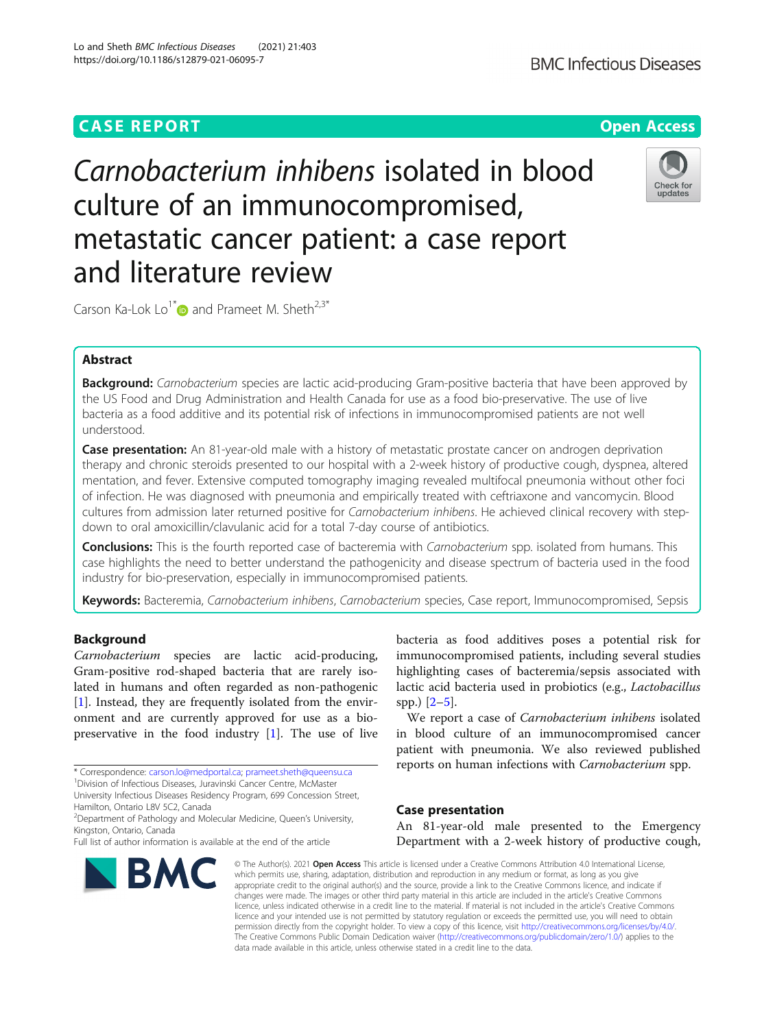# Carnobacterium inhibens isolated in blood culture of an immunocompromised, metastatic cancer patient: a case report and literature review

Carson Ka-Lok Lo<sup>1\*</sup> and Prameet M. Sheth<sup>2,3\*</sup>

## Abstract

Background: Carnobacterium species are lactic acid-producing Gram-positive bacteria that have been approved by the US Food and Drug Administration and Health Canada for use as a food bio-preservative. The use of live bacteria as a food additive and its potential risk of infections in immunocompromised patients are not well understood.

Case presentation: An 81-year-old male with a history of metastatic prostate cancer on androgen deprivation therapy and chronic steroids presented to our hospital with a 2-week history of productive cough, dyspnea, altered mentation, and fever. Extensive computed tomography imaging revealed multifocal pneumonia without other foci of infection. He was diagnosed with pneumonia and empirically treated with ceftriaxone and vancomycin. Blood cultures from admission later returned positive for Carnobacterium inhibens. He achieved clinical recovery with stepdown to oral amoxicillin/clavulanic acid for a total 7-day course of antibiotics.

Conclusions: This is the fourth reported case of bacteremia with Carnobacterium spp. isolated from humans. This case highlights the need to better understand the pathogenicity and disease spectrum of bacteria used in the food industry for bio-preservation, especially in immunocompromised patients.

Keywords: Bacteremia, Carnobacterium inhibens, Carnobacterium species, Case report, Immunocompromised, Sepsis

## Background

Carnobacterium species are lactic acid-producing, Gram-positive rod-shaped bacteria that are rarely isolated in humans and often regarded as non-pathogenic [[1\]](#page-4-0). Instead, they are frequently isolated from the environment and are currently approved for use as a biopreservative in the food industry [[1](#page-4-0)]. The use of live

\* Correspondence: [carson.lo@medportal.ca](mailto:carson.lo@medportal.ca); [prameet.sheth@queensu.ca](mailto:prameet.sheth@queensu.ca) <sup>1</sup>

<sup>1</sup> Division of Infectious Diseases, Juravinski Cancer Centre, McMaster

University Infectious Diseases Residency Program, 699 Concession Street, Hamilton, Ontario L8V 5C2, Canada

<sup>2</sup> Department of Pathology and Molecular Medicine, Queen's University, Kingston, Ontario, Canada

# bacteria as food additives poses a potential risk for immunocompromised patients, including several studies highlighting cases of bacteremia/sepsis associated with lactic acid bacteria used in probiotics (e.g., Lactobacillus spp.)  $[2-5]$  $[2-5]$  $[2-5]$  $[2-5]$ .

We report a case of Carnobacterium inhibens isolated in blood culture of an immunocompromised cancer patient with pneumonia. We also reviewed published reports on human infections with Carnobacterium spp.

## Case presentation

An 81-year-old male presented to the Emergency Department with a 2-week history of productive cough,

© The Author(s), 2021 **Open Access** This article is licensed under a Creative Commons Attribution 4.0 International License, which permits use, sharing, adaptation, distribution and reproduction in any medium or format, as long as you give appropriate credit to the original author(s) and the source, provide a link to the Creative Commons licence, and indicate if changes were made. The images or other third party material in this article are included in the article's Creative Commons licence, unless indicated otherwise in a credit line to the material. If material is not included in the article's Creative Commons licence and your intended use is not permitted by statutory regulation or exceeds the permitted use, you will need to obtain permission directly from the copyright holder. To view a copy of this licence, visit [http://creativecommons.org/licenses/by/4.0/.](http://creativecommons.org/licenses/by/4.0/) The Creative Commons Public Domain Dedication waiver [\(http://creativecommons.org/publicdomain/zero/1.0/](http://creativecommons.org/publicdomain/zero/1.0/)) applies to the data made available in this article, unless otherwise stated in a credit line to the data.

Full list of author information is available at the end of the article **BMC** 



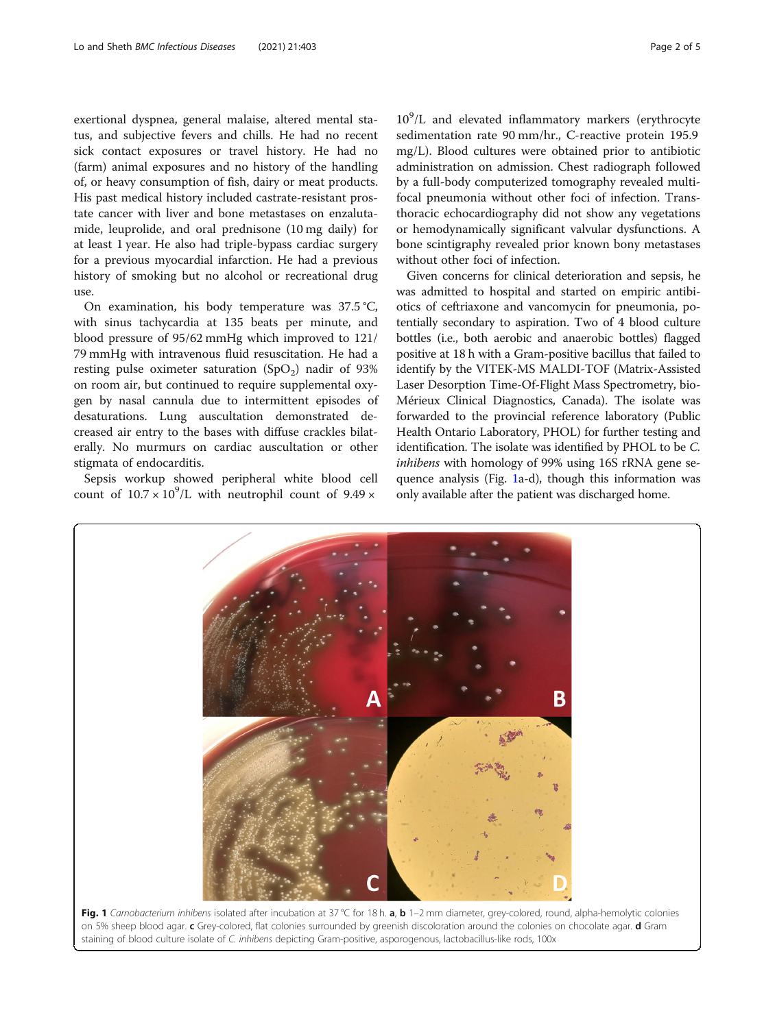exertional dyspnea, general malaise, altered mental status, and subjective fevers and chills. He had no recent sick contact exposures or travel history. He had no (farm) animal exposures and no history of the handling of, or heavy consumption of fish, dairy or meat products. His past medical history included castrate-resistant prostate cancer with liver and bone metastases on enzalutamide, leuprolide, and oral prednisone (10 mg daily) for at least 1 year. He also had triple-bypass cardiac surgery for a previous myocardial infarction. He had a previous history of smoking but no alcohol or recreational drug use.

On examination, his body temperature was 37.5 °C, with sinus tachycardia at 135 beats per minute, and blood pressure of 95/62 mmHg which improved to 121/ 79 mmHg with intravenous fluid resuscitation. He had a resting pulse oximeter saturation  $(SpO<sub>2</sub>)$  nadir of 93% on room air, but continued to require supplemental oxygen by nasal cannula due to intermittent episodes of desaturations. Lung auscultation demonstrated decreased air entry to the bases with diffuse crackles bilaterally. No murmurs on cardiac auscultation or other stigmata of endocarditis.

Sepsis workup showed peripheral white blood cell count of  $10.7 \times 10^9$ /L with neutrophil count of  $9.49 \times$ 

10<sup>9</sup>/L and elevated inflammatory markers (erythrocyte sedimentation rate 90 mm/hr., C-reactive protein 195.9 mg/L). Blood cultures were obtained prior to antibiotic administration on admission. Chest radiograph followed by a full-body computerized tomography revealed multifocal pneumonia without other foci of infection. Transthoracic echocardiography did not show any vegetations or hemodynamically significant valvular dysfunctions. A bone scintigraphy revealed prior known bony metastases without other foci of infection.

Given concerns for clinical deterioration and sepsis, he was admitted to hospital and started on empiric antibiotics of ceftriaxone and vancomycin for pneumonia, potentially secondary to aspiration. Two of 4 blood culture bottles (i.e., both aerobic and anaerobic bottles) flagged positive at 18 h with a Gram-positive bacillus that failed to identify by the VITEK-MS MALDI-TOF (Matrix-Assisted Laser Desorption Time-Of-Flight Mass Spectrometry, bio-Mérieux Clinical Diagnostics, Canada). The isolate was forwarded to the provincial reference laboratory (Public Health Ontario Laboratory, PHOL) for further testing and identification. The isolate was identified by PHOL to be C. inhibens with homology of 99% using 16S rRNA gene sequence analysis (Fig. 1a-d), though this information was only available after the patient was discharged home.



staining of blood culture isolate of C. inhibens depicting Gram-positive, asporogenous, lactobacillus-like rods, 100x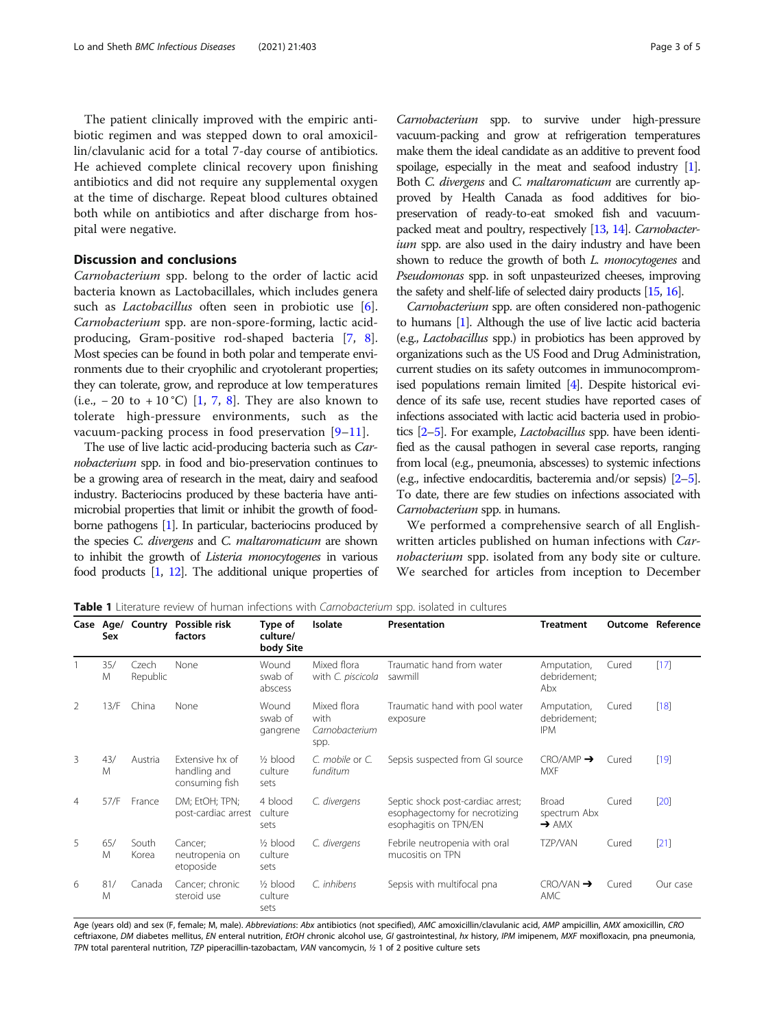<span id="page-2-0"></span>The patient clinically improved with the empiric antibiotic regimen and was stepped down to oral amoxicillin/clavulanic acid for a total 7-day course of antibiotics. He achieved complete clinical recovery upon finishing antibiotics and did not require any supplemental oxygen at the time of discharge. Repeat blood cultures obtained both while on antibiotics and after discharge from hospital were negative.

### Discussion and conclusions

Carnobacterium spp. belong to the order of lactic acid bacteria known as Lactobacillales, which includes genera such as *Lactobacillus* often seen in probiotic use [\[6](#page-4-0)]. Carnobacterium spp. are non-spore-forming, lactic acidproducing, Gram-positive rod-shaped bacteria [[7,](#page-4-0) [8](#page-4-0)]. Most species can be found in both polar and temperate environments due to their cryophilic and cryotolerant properties; they can tolerate, grow, and reproduce at low temperatures (i.e.,  $-20$  to  $+10$  °C) [[1,](#page-4-0) [7,](#page-4-0) [8\]](#page-4-0). They are also known to tolerate high-pressure environments, such as the vacuum-packing process in food preservation  $[9-11]$  $[9-11]$  $[9-11]$  $[9-11]$ .

The use of live lactic acid-producing bacteria such as Carnobacterium spp. in food and bio-preservation continues to be a growing area of research in the meat, dairy and seafood industry. Bacteriocins produced by these bacteria have antimicrobial properties that limit or inhibit the growth of foodborne pathogens [\[1\]](#page-4-0). In particular, bacteriocins produced by the species C. divergens and C. maltaromaticum are shown to inhibit the growth of Listeria monocytogenes in various food products [\[1](#page-4-0), [12\]](#page-4-0). The additional unique properties of

Carnobacterium spp. to survive under high-pressure vacuum-packing and grow at refrigeration temperatures make them the ideal candidate as an additive to prevent food spoilage, especially in the meat and seafood industry [\[1\]](#page-4-0). Both C. divergens and C. maltaromaticum are currently approved by Health Canada as food additives for biopreservation of ready-to-eat smoked fish and vacuumpacked meat and poultry, respectively [\[13,](#page-4-0) [14](#page-4-0)]. Carnobacterium spp. are also used in the dairy industry and have been shown to reduce the growth of both L. monocytogenes and Pseudomonas spp. in soft unpasteurized cheeses, improving the safety and shelf-life of selected dairy products [\[15](#page-4-0), [16\]](#page-4-0).

Carnobacterium spp. are often considered non-pathogenic to humans [\[1](#page-4-0)]. Although the use of live lactic acid bacteria (e.g., Lactobacillus spp.) in probiotics has been approved by organizations such as the US Food and Drug Administration, current studies on its safety outcomes in immunocompromised populations remain limited [\[4](#page-4-0)]. Despite historical evidence of its safe use, recent studies have reported cases of infections associated with lactic acid bacteria used in probiotics [[2](#page-4-0)–[5](#page-4-0)]. For example, Lactobacillus spp. have been identified as the causal pathogen in several case reports, ranging from local (e.g., pneumonia, abscesses) to systemic infections (e.g., infective endocarditis, bacteremia and/or sepsis)  $[2-5]$  $[2-5]$  $[2-5]$  $[2-5]$ . To date, there are few studies on infections associated with Carnobacterium spp. in humans.

We performed a comprehensive search of all Englishwritten articles published on human infections with *Car*nobacterium spp. isolated from any body site or culture. We searched for articles from inception to December

Table 1 Literature review of human infections with Carnobacterium spp. isolated in cultures

|   | Case Age/<br>Sex |                   | Country Possible risk<br>factors                  | Type of<br>culture/<br>body Site         | Isolate                                       | Presentation                                                                                | <b>Treatment</b>                           |       | Outcome Reference |
|---|------------------|-------------------|---------------------------------------------------|------------------------------------------|-----------------------------------------------|---------------------------------------------------------------------------------------------|--------------------------------------------|-------|-------------------|
|   | 35/<br>M         | Czech<br>Republic | None                                              | Wound<br>swab of<br>abscess              | Mixed flora<br>with C. piscicola              | Traumatic hand from water<br>sawmill                                                        | Amputation,<br>debridement;<br>Abx         | Cured | $[17]$            |
| 2 | 13/F             | China             | None                                              | Wound<br>swab of<br>gangrene             | Mixed flora<br>with<br>Carnobacterium<br>spp. | Traumatic hand with pool water<br>exposure                                                  | Amputation,<br>debridement;<br><b>IPM</b>  | Cured | [18]              |
| 3 | 43/<br>M         | Austria           | Extensive hx of<br>handling and<br>consuming fish | 1/ <sub>2</sub> blood<br>culture<br>sets | $C$ mobile or $C$<br>funditum                 | Sepsis suspected from GI source                                                             | $CRO/AMP \rightarrow$<br><b>MXF</b>        | Cured | [19]              |
| 4 | 57/F             | France            | DM; EtOH; TPN;<br>post-cardiac arrest             | 4 blood<br>culture<br>sets               | C. divergens                                  | Septic shock post-cardiac arrest;<br>esophagectomy for necrotizing<br>esophagitis on TPN/EN | Broad<br>spectrum Abx<br>$\rightarrow$ AMX | Cured | $[20]$            |
| 5 | 65/<br>M         | South<br>Korea    | Cancer:<br>neutropenia on<br>etoposide            | $\frac{1}{2}$ blood<br>culture<br>sets   | C. divergens                                  | Febrile neutropenia with oral<br>mucositis on TPN                                           | <b>TZP/VAN</b>                             | Cured | $[21]$            |
| 6 | 81/<br>M         | Canada            | Cancer; chronic<br>steroid use                    | 1/ <sub>2</sub> blood<br>culture<br>sets | C. inhibens                                   | Sepsis with multifocal pna                                                                  | $CRO/VAN \rightarrow$<br>AMC               | Cured | Our case          |

Age (years old) and sex (F, female; M, male). Abbreviations: Abx antibiotics (not specified), AMC amoxicillin/clavulanic acid, AMP ampicillin, AMX amoxicillin, CRO ceftriaxone, DM diabetes mellitus, EN enteral nutrition, EtOH chronic alcohol use, GI gastrointestinal, hx history, IPM imipenem, MXF moxifloxacin, pna pneumonia, TPN total parenteral nutrition, TZP piperacillin-tazobactam, VAN vancomycin, ½ 1 of 2 positive culture sets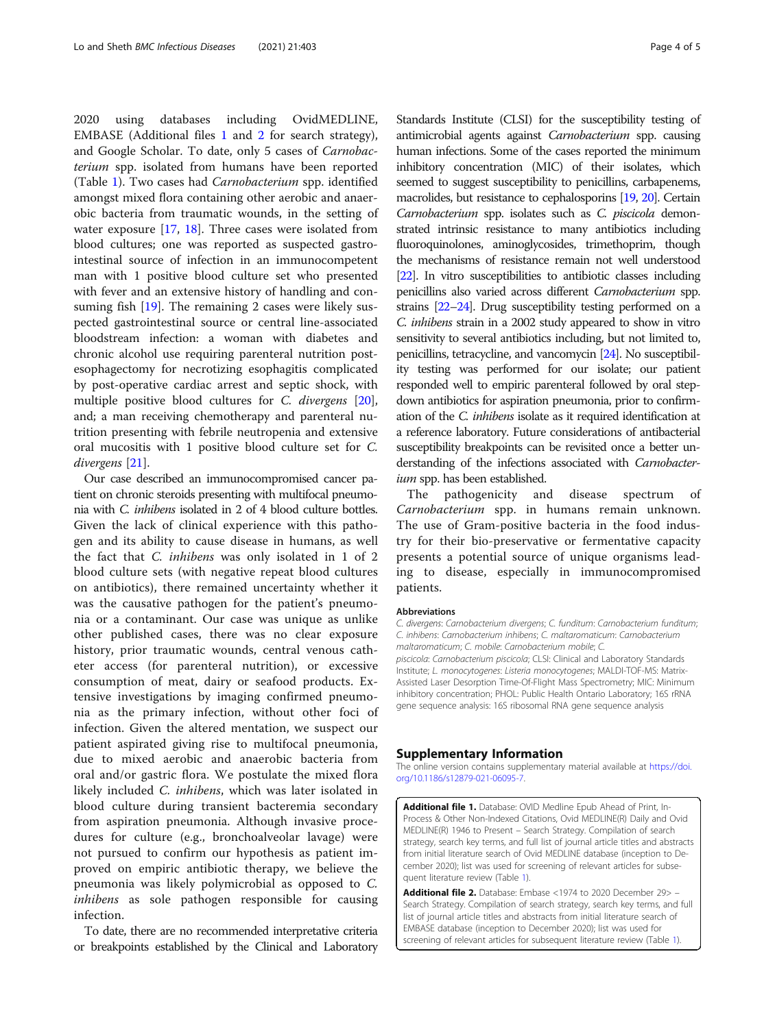<span id="page-3-0"></span>2020 using databases including OvidMEDLINE, EMBASE (Additional files 1 and 2 for search strategy), and Google Scholar. To date, only 5 cases of Carnobacterium spp. isolated from humans have been reported (Table [1\)](#page-2-0). Two cases had Carnobacterium spp. identified amongst mixed flora containing other aerobic and anaerobic bacteria from traumatic wounds, in the setting of water exposure [\[17](#page-4-0), [18\]](#page-4-0). Three cases were isolated from blood cultures; one was reported as suspected gastrointestinal source of infection in an immunocompetent man with 1 positive blood culture set who presented with fever and an extensive history of handling and con-suming fish [\[19\]](#page-4-0). The remaining 2 cases were likely suspected gastrointestinal source or central line-associated bloodstream infection: a woman with diabetes and chronic alcohol use requiring parenteral nutrition postesophagectomy for necrotizing esophagitis complicated by post-operative cardiac arrest and septic shock, with multiple positive blood cultures for C. divergens [\[20](#page-4-0)], and; a man receiving chemotherapy and parenteral nutrition presenting with febrile neutropenia and extensive oral mucositis with 1 positive blood culture set for C. divergens [[21\]](#page-4-0).

Our case described an immunocompromised cancer patient on chronic steroids presenting with multifocal pneumonia with C. inhibens isolated in 2 of 4 blood culture bottles. Given the lack of clinical experience with this pathogen and its ability to cause disease in humans, as well the fact that C. inhibens was only isolated in 1 of 2 blood culture sets (with negative repeat blood cultures on antibiotics), there remained uncertainty whether it was the causative pathogen for the patient's pneumonia or a contaminant. Our case was unique as unlike other published cases, there was no clear exposure history, prior traumatic wounds, central venous catheter access (for parenteral nutrition), or excessive consumption of meat, dairy or seafood products. Extensive investigations by imaging confirmed pneumonia as the primary infection, without other foci of infection. Given the altered mentation, we suspect our patient aspirated giving rise to multifocal pneumonia, due to mixed aerobic and anaerobic bacteria from oral and/or gastric flora. We postulate the mixed flora likely included *C. inhibens*, which was later isolated in blood culture during transient bacteremia secondary from aspiration pneumonia. Although invasive procedures for culture (e.g., bronchoalveolar lavage) were not pursued to confirm our hypothesis as patient improved on empiric antibiotic therapy, we believe the pneumonia was likely polymicrobial as opposed to C. inhibens as sole pathogen responsible for causing infection.

To date, there are no recommended interpretative criteria or breakpoints established by the Clinical and Laboratory Standards Institute (CLSI) for the susceptibility testing of antimicrobial agents against Carnobacterium spp. causing human infections. Some of the cases reported the minimum inhibitory concentration (MIC) of their isolates, which seemed to suggest susceptibility to penicillins, carbapenems, macrolides, but resistance to cephalosporins [\[19,](#page-4-0) [20](#page-4-0)]. Certain Carnobacterium spp. isolates such as C. piscicola demonstrated intrinsic resistance to many antibiotics including fluoroquinolones, aminoglycosides, trimethoprim, though the mechanisms of resistance remain not well understood [[22\]](#page-4-0). In vitro susceptibilities to antibiotic classes including penicillins also varied across different Carnobacterium spp. strains [[22](#page-4-0)–[24\]](#page-4-0). Drug susceptibility testing performed on a C. inhibens strain in a 2002 study appeared to show in vitro sensitivity to several antibiotics including, but not limited to, penicillins, tetracycline, and vancomycin [\[24](#page-4-0)]. No susceptibility testing was performed for our isolate; our patient responded well to empiric parenteral followed by oral stepdown antibiotics for aspiration pneumonia, prior to confirmation of the C. inhibens isolate as it required identification at a reference laboratory. Future considerations of antibacterial susceptibility breakpoints can be revisited once a better understanding of the infections associated with Carnobacterium spp. has been established.

The pathogenicity and disease spectrum of Carnobacterium spp. in humans remain unknown. The use of Gram-positive bacteria in the food industry for their bio-preservative or fermentative capacity presents a potential source of unique organisms leading to disease, especially in immunocompromised patients.

#### Abbreviations

C. divergens: Carnobacterium divergens; C. funditum: Carnobacterium funditum; C. inhibens: Carnobacterium inhibens; C. maltaromaticum: Carnobacterium maltaromaticum; C. mobile: Carnobacterium mobile; C. piscicola: Carnobacterium piscicola; CLSI: Clinical and Laboratory Standards Institute; L. monocytogenes: Listeria monocytogenes; MALDI-TOF-MS: Matrix-Assisted Laser Desorption Time-Of-Flight Mass Spectrometry; MIC: Minimum inhibitory concentration; PHOL: Public Health Ontario Laboratory; 16S rRNA gene sequence analysis: 16S ribosomal RNA gene sequence analysis

#### Supplementary Information

The online version contains supplementary material available at [https://doi.](https://doi.org/10.1186/s12879-021-06095-7) [org/10.1186/s12879-021-06095-7.](https://doi.org/10.1186/s12879-021-06095-7)

Additional file 1. Database: OVID Medline Epub Ahead of Print, In-Process & Other Non-Indexed Citations, Ovid MEDLINE(R) Daily and Ovid MEDLINE(R) 1946 to Present – Search Strategy. Compilation of search strategy, search key terms, and full list of journal article titles and abstracts from initial literature search of Ovid MEDLINE database (inception to December 2020); list was used for screening of relevant articles for subsequent literature review (Table [1\)](#page-4-0).

Additional file 2. Database: Embase <1974 to 2020 December 29> -Search Strategy. Compilation of search strategy, search key terms, and full list of journal article titles and abstracts from initial literature search of EMBASE database (inception to December 2020); list was used for screening of relevant articles for subsequent literature review (Table [1](#page-4-0)).